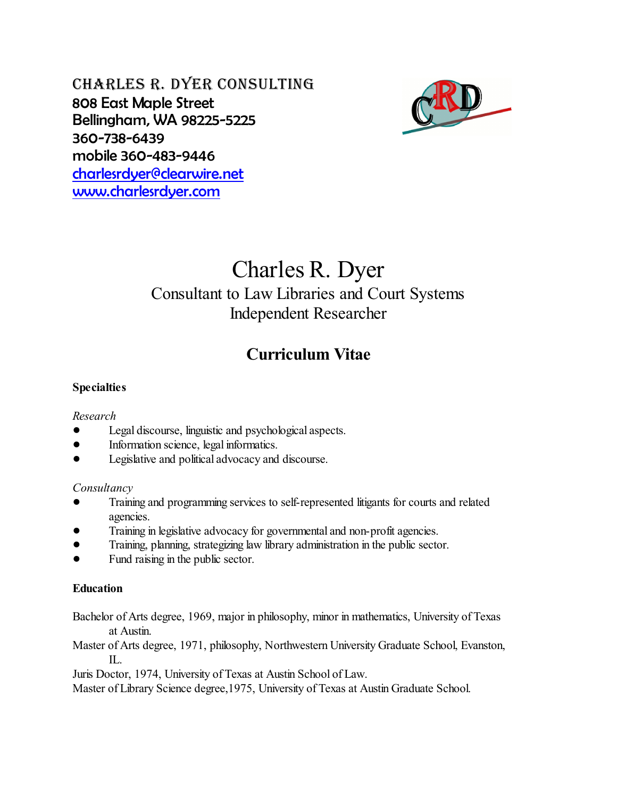Charles R. Dyer Consulting 808 East Maple Street Bellingham, WA 98225-5225 360-738-6439 mobile 360-483-9446 [charlesrdyer@clearwire.net](mailto:charlesrdyer@clearwire.net) [www.charlesrdyer.com](http://www.charlesrdyer.com)



# Charles R. Dyer

## Consultant to Law Libraries and Court Systems Independent Researcher

## **Curriculum Vitae**

#### **Specialties**

#### *Research*

- ! Legal discourse, linguistic and psychological aspects.
- Information science, legal informatics.
- ! Legislative and political advocacy and discourse.

#### *Consultancy*

- ! Training and programming services to self-represented litigants for courts and related agencies.
- ! Training in legislative advocacy for governmental and non-profit agencies.
- ! Training, planning, strategizing law library administration in the public sector.
- ! Fund raising in the public sector.

#### **Education**

Bachelor of Arts degree, 1969, major in philosophy, minor in mathematics, University of Texas at Austin.

Master of Arts degree, 1971, philosophy, Northwestern University Graduate School, Evanston, IL.

Juris Doctor, 1974, University of Texas at Austin School of Law.

Master of Library Science degree,1975, University of Texas at Austin Graduate School.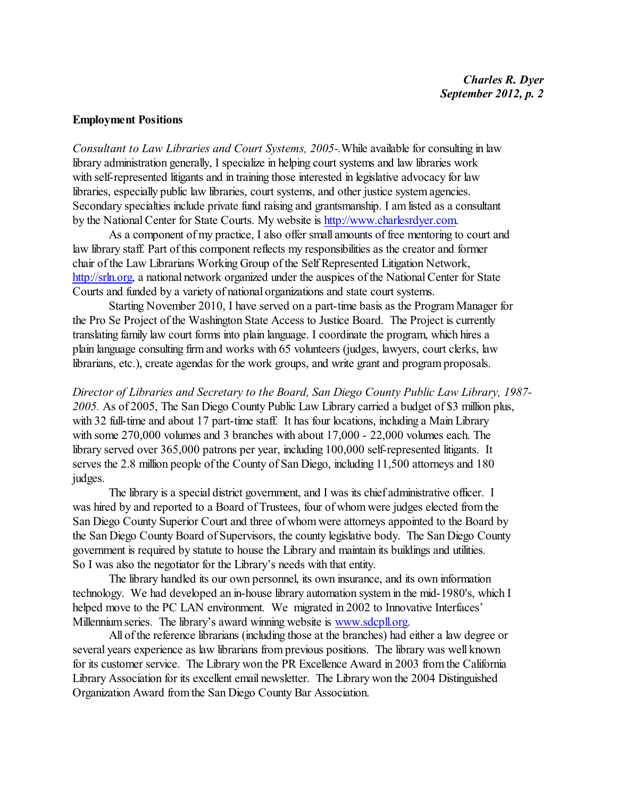#### **Employment Positions**

*Consultant to Law Libraries and Court Systems, 2005-.*While available for consulting in law library administration generally, I specialize in helping court systems and law libraries work with self-represented litigants and in training those interested in legislative advocacy for law libraries, especially public law libraries, court systems, and other justice system agencies. Secondary specialties include private fund raising and grantsmanship. I am listed as a consultant by the National Center for State Courts. My website is <http://www.charlesrdyer.com>.

As a component of my practice, I also offer small amounts of free mentoring to court and law library staff. Part of this component reflects my responsibilities as the creator and former chair of the Law Librarians Working Group of the Self Represented Litigation Network, <http://srln.org>, a national network organized under the auspices of the National Center for State Courts and funded by a variety of national organizations and state court systems.

Starting November 2010, I have served on a part-time basis as the Program Manager for the Pro Se Project of the Washington State Access to Justice Board. The Project is currently translating family law court forms into plain language. I coordinate the program, which hires a plain language consulting firm and works with 65 volunteers (judges, lawyers, court clerks, law librarians, etc.), create agendas for the work groups, and write grant and program proposals.

*Director of Libraries and Secretary to the Board, San Diego County Public Law Library, 1987- 2005.* As of 2005, The San Diego County Public Law Library carried a budget of \$3 million plus, with 32 full-time and about 17 part-time staff. It has four locations, including a Main Library with some 270,000 volumes and 3 branches with about 17,000 - 22,000 volumes each. The library served over 365,000 patrons per year, including 100,000 self-represented litigants. It serves the 2.8 million people of the County of San Diego, including 11,500 attorneys and 180 judges.

The library is a special district government, and I was its chief administrative officer. I was hired by and reported to a Board of Trustees, four of whom were judges elected from the San Diego County Superior Court and three of whom were attorneys appointed to the Board by the San Diego County Board of Supervisors, the county legislative body. The San Diego County government is required by statute to house the Library and maintain its buildings and utilities. So I was also the negotiator for the Library's needs with that entity.

The library handled its our own personnel, its own insurance, and its own information technology. We had developed an in-house library automation system in the mid-1980's, which I helped move to the PC LAN environment. We migrated in 2002 to Innovative Interfaces' Millennium series. The library's award winning website is [www.sdcpll.org](http://www.sdcpll.org).

All of the reference librarians (including those at the branches) had either a law degree or several years experience as law librarians from previous positions. The library was well known for its customer service. The Library won the PR Excellence Award in 2003 from the California Library Association for its excellent email newsletter. The Library won the 2004 Distinguished Organization Award fromthe San Diego County Bar Association.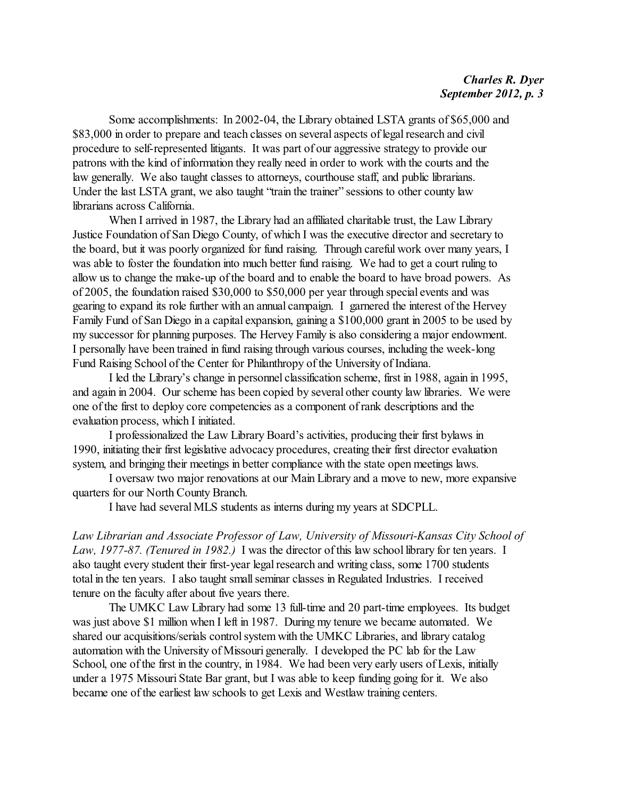Some accomplishments: In 2002-04, the Library obtained LSTA grants of \$65,000 and \$83,000 in order to prepare and teach classes on several aspects of legal research and civil procedure to self-represented litigants. It was part of our aggressive strategy to provide our patrons with the kind of information they really need in order to work with the courts and the law generally. We also taught classes to attorneys, courthouse staff, and public librarians. Under the last LSTA grant, we also taught "train the trainer" sessions to other county law librarians across California.

When I arrived in 1987, the Library had an affiliated charitable trust, the Law Library Justice Foundation of San Diego County, of which I was the executive director and secretary to the board, but it was poorly organized for fund raising. Through careful work over many years, I was able to foster the foundation into much better fund raising. We had to get a court ruling to allow us to change the make-up of the board and to enable the board to have broad powers. As of 2005, the foundation raised \$30,000 to \$50,000 per year through special events and was gearing to expand its role further with an annual campaign. I garnered the interest ofthe Hervey Family Fund of San Diego in a capital expansion, gaining a \$100,000 grant in 2005 to be used by my successor for planning purposes. The Hervey Family is also considering a major endowment. I personally have been trained in fund raising through various courses, including the week-long Fund Raising School of the Center for Philanthropy of the University of Indiana.

I led the Library's change in personnel classification scheme, first in 1988, again in 1995, and again in 2004. Our scheme has been copied by several other county law libraries. We were one of the first to deploy core competencies as a component of rank descriptions and the evaluation process, which I initiated.

I professionalized the Law Library Board's activities, producing their first bylaws in 1990, initiating their first legislative advocacy procedures, creating their first director evaluation system, and bringing their meetings in better compliance with the state open meetings laws.

I oversaw two major renovations at our Main Library and a move to new, more expansive quarters for our North County Branch.

I have had several MLS students as interns during my years at SDCPLL.

*Law Librarian and Associate Professor of Law, University of Missouri-Kansas City School of Law, 1977-87. (Tenured in 1982.)* I was the director of this law school library for ten years. I also taught every student their first-year legal research and writing class, some 1700 students total in the ten years. I also taught small seminar classes in Regulated Industries. I received tenure on the faculty after about five years there.

The UMKC Law Library had some 13 full-time and 20 part-time employees. Its budget was just above \$1 million when I left in 1987. During my tenure we became automated. We shared our acquisitions/serials control system with the UMKC Libraries, and library catalog automation with the University of Missouri generally. I developed the PC lab for the Law School, one of the first in the country, in 1984. We had been very early users of Lexis, initially under a 1975 Missouri State Bar grant, but I was able to keep funding going for it. We also became one of the earliest law schools to get Lexis and Westlaw training centers.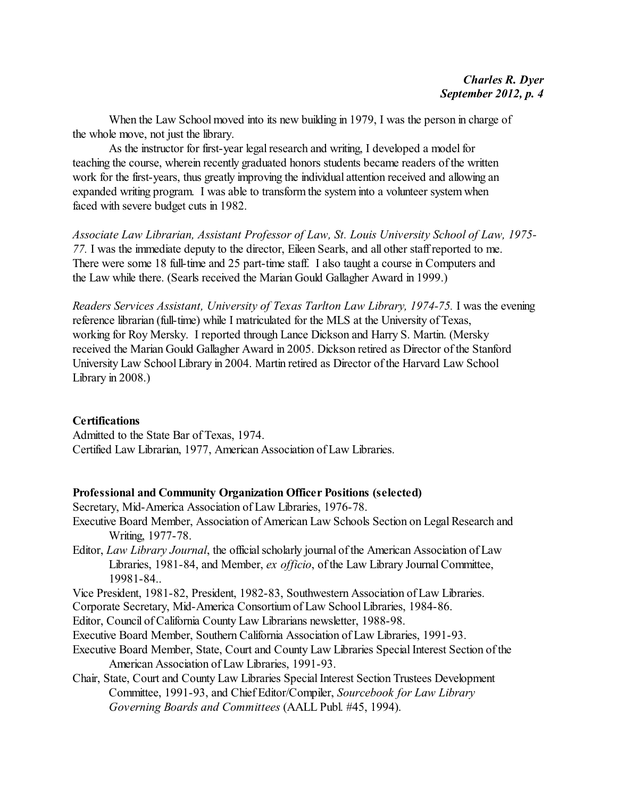When the Law School moved into its new building in 1979, I was the person in charge of the whole move, not just the library.

As the instructor for first-year legal research and writing, I developed a model for teaching the course, wherein recently graduated honors students became readers of the written work for the first-years, thus greatly improving the individual attention received and allowing an expanded writing program. I was able to transform the system into a volunteer system when faced with severe budget cuts in 1982.

*Associate Law Librarian, Assistant Professor of Law, St. Louis University School of Law, 1975- 77.* I was the immediate deputy to the director, Eileen Searls, and all other staff reported to me. There were some 18 full-time and 25 part-time staff. I also taught a course in Computers and the Law while there. (Searls received the Marian Gould Gallagher Award in 1999.)

*Readers Services Assistant, University of Texas Tarlton Law Library, 1974-75.* I was the evening reference librarian (full-time) while I matriculated for the MLS at the University of Texas, working for Roy Mersky. I reported through Lance Dickson and Harry S. Martin. (Mersky received the Marian Gould Gallagher Award in 2005. Dickson retired as Director of the Stanford University Law School Library in 2004. Martin retired as Director of the Harvard Law School Library in 2008.)

#### **Certifications**

Admitted to the State Bar of Texas, 1974. Certified Law Librarian, 1977, American Association of Law Libraries.

#### **Professional and Community Organization Officer Positions (selected)**

Secretary, Mid-America Association of Law Libraries, 1976-78.

- Executive Board Member, Association of American Law Schools Section on Legal Research and Writing, 1977-78.
- Editor, *Law Library Journal*, the official scholarly journal of the American Association of Law Libraries, 1981-84, and Member, *ex officio*, of the Law Library Journal Committee, 19981-84..

Vice President, 1981-82, President, 1982-83, Southwestern Association of Law Libraries.

Corporate Secretary, Mid-America Consortium of Law School Libraries, 1984-86.

Editor, Council of California County Law Librarians newsletter, 1988-98.

Executive Board Member, Southern California Association of Law Libraries, 1991-93.

- Executive Board Member, State, Court and County Law Libraries Special Interest Section of the American Association of Law Libraries, 1991-93.
- Chair, State, Court and County Law Libraries Special Interest Section Trustees Development Committee, 1991-93, and Chief Editor/Compiler, *Sourcebook for Law Library Governing Boards and Committees* (AALL Publ. #45, 1994).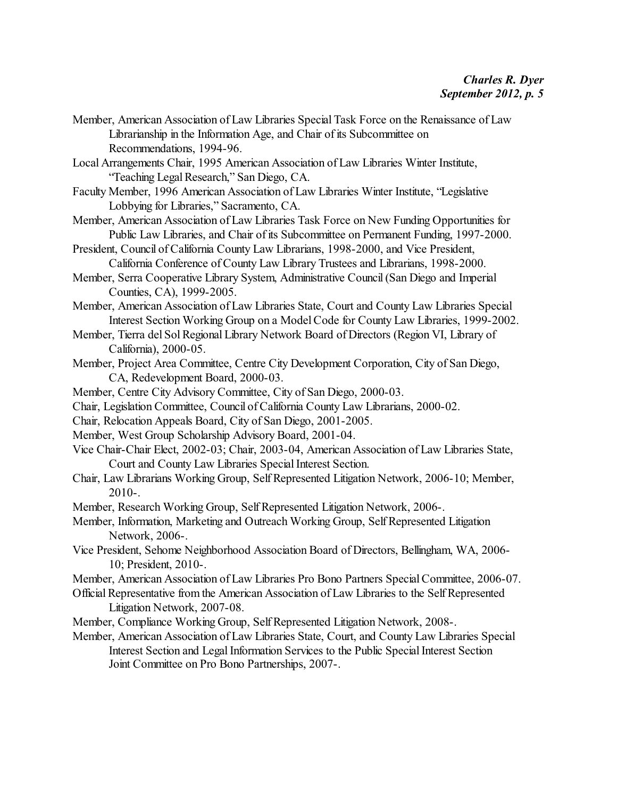- Member, American Association of Law Libraries Special Task Force on the Renaissance of Law Librarianship in the Information Age, and Chair of its Subcommittee on Recommendations, 1994-96.
- Local Arrangements Chair, 1995 American Association of Law Libraries Winter Institute, "Teaching Legal Research," San Diego, CA.
- Faculty Member, 1996 American Association of Law Libraries Winter Institute, "Legislative Lobbying for Libraries," Sacramento, CA.
- Member, American Association of Law Libraries Task Force on New Funding Opportunities for Public Law Libraries, and Chair of its Subcommittee on Permanent Funding, 1997-2000.
- President, Council of California County Law Librarians, 1998-2000, and Vice President, California Conference of County Law Library Trustees and Librarians, 1998-2000.
- Member, Serra Cooperative Library System, Administrative Council (San Diego and Imperial Counties, CA), 1999-2005.
- Member, American Association of Law Libraries State, Court and County Law Libraries Special Interest Section Working Group on a Model Code for County Law Libraries, 1999-2002.
- Member, Tierra del Sol Regional Library Network Board of Directors (Region VI, Library of California), 2000-05.
- Member, Project Area Committee, Centre City Development Corporation, City of San Diego, CA, Redevelopment Board, 2000-03.
- Member, Centre City Advisory Committee, City of San Diego, 2000-03.
- Chair, Legislation Committee, Council of California County Law Librarians, 2000-02.
- Chair, Relocation Appeals Board, City of San Diego, 2001-2005.
- Member, West Group Scholarship Advisory Board, 2001-04.
- Vice Chair-Chair Elect, 2002-03; Chair, 2003-04, American Association of Law Libraries State, Court and County Law Libraries Special Interest Section.
- Chair, Law Librarians Working Group, Self Represented Litigation Network, 2006-10; Member, 2010-.
- Member, Research Working Group, Self Represented Litigation Network, 2006-.
- Member, Information, Marketing and Outreach Working Group, Self Represented Litigation Network, 2006-.
- Vice President, Sehome Neighborhood Association Board of Directors, Bellingham, WA, 2006- 10; President, 2010-.
- Member, American Association of Law Libraries Pro Bono Partners Special Committee, 2006-07.
- Official Representative fromthe American Association of Law Libraries to the Self Represented Litigation Network, 2007-08.
- Member, Compliance Working Group, Self Represented Litigation Network, 2008-.
- Member, American Association of Law Libraries State, Court, and County Law Libraries Special Interest Section and Legal Information Services to the Public Special Interest Section Joint Committee on Pro Bono Partnerships, 2007-.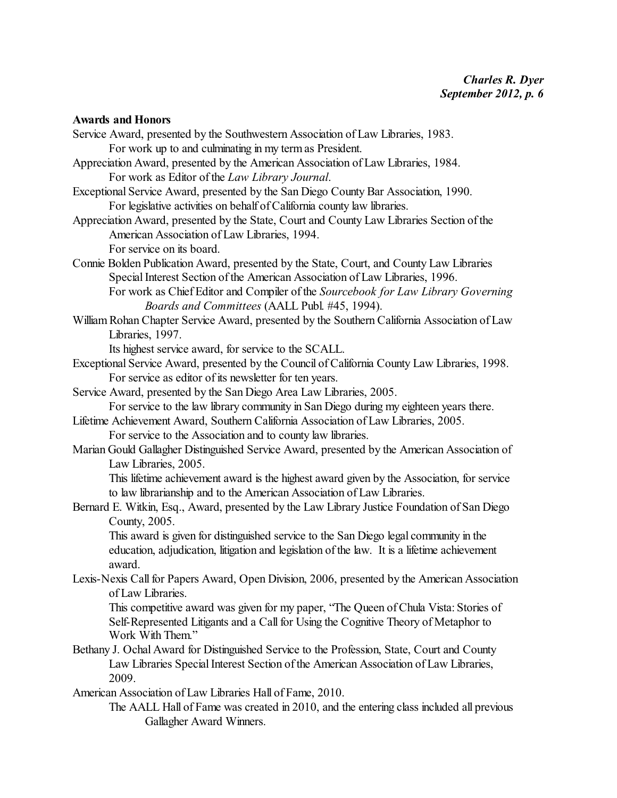**Awards and Honors** Service Award, presented by the Southwestern Association of Law Libraries, 1983. For work up to and culminating in my term as President. Appreciation Award, presented by the American Association of Law Libraries, 1984. For work as Editor of the *Law Library Journal*. Exceptional Service Award, presented by the San Diego County Bar Association, 1990. For legislative activities on behalf of California county law libraries. Appreciation Award, presented by the State, Court and County Law Libraries Section of the American Association of Law Libraries, 1994. For service on its board. Connie Bolden Publication Award, presented by the State, Court, and County Law Libraries Special Interest Section of the American Association of Law Libraries, 1996. For work as Chief Editor and Compiler of the *Sourcebook for Law Library Governing Boards and Committees* (AALL Publ. #45, 1994). William Rohan Chapter Service Award, presented by the Southern California Association of Law Libraries, 1997. Its highest service award, for service to the SCALL. Exceptional Service Award, presented by the Council of California County Law Libraries, 1998. For service as editor of its newsletter for ten years. Service Award, presented by the San Diego Area Law Libraries, 2005. For service to the law library community in San Diego during my eighteen years there. Lifetime Achievement Award, Southern California Association of Law Libraries, 2005. For service to the Association and to county law libraries. Marian Gould Gallagher Distinguished Service Award, presented by the American Association of Law Libraries, 2005. This lifetime achievement award is the highest award given by the Association, for service to law librarianship and to the American Association of Law Libraries.

Bernard E. Witkin, Esq., Award, presented by the Law Library Justice Foundation of San Diego County, 2005.

This award is given for distinguished service to the San Diego legal community in the education, adjudication, litigation and legislation of the law. It is a lifetime achievement award.

Lexis-Nexis Call for Papers Award, Open Division, 2006, presented by the American Association of Law Libraries.

This competitive award was given for my paper, "The Queen of Chula Vista: Stories of Self-Represented Litigants and a Call for Using the Cognitive Theory of Metaphor to Work With Them."

Bethany J. Ochal Award for Distinguished Service to the Profession, State, Court and County Law Libraries Special Interest Section of the American Association of Law Libraries, 2009.

American Association of Law Libraries Hall of Fame, 2010.

The AALL Hall of Fame was created in 2010, and the entering class included all previous Gallagher Award Winners.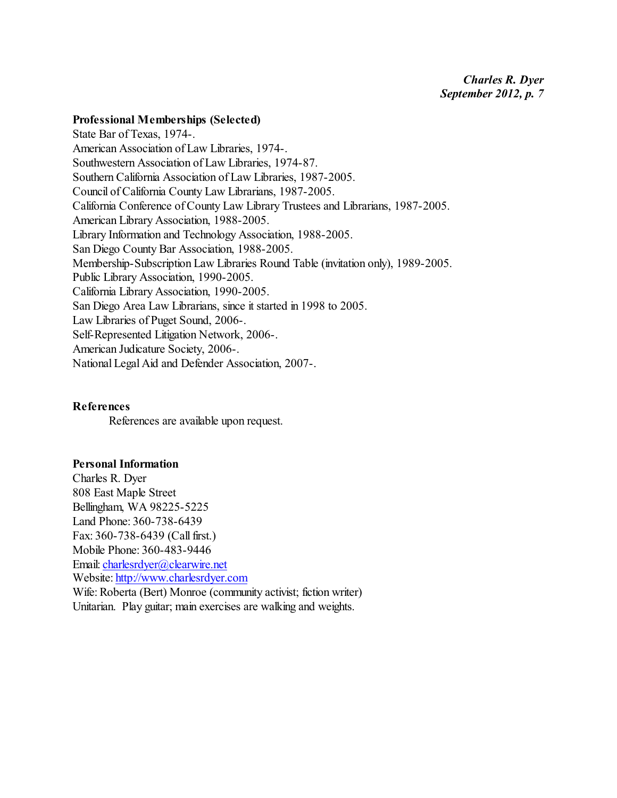#### **Professional Memberships (Selected)**

State Bar of Texas, 1974-. American Association of Law Libraries, 1974-. Southwestern Association of Law Libraries, 1974-87. Southern California Association of Law Libraries, 1987-2005. Council of California County Law Librarians, 1987-2005. California Conference of County Law Library Trustees and Librarians, 1987-2005. American Library Association, 1988-2005. Library Information and Technology Association, 1988-2005. San Diego County Bar Association, 1988-2005. Membership-Subscription Law Libraries Round Table (invitation only), 1989-2005. Public Library Association, 1990-2005. California Library Association, 1990-2005. San Diego Area Law Librarians, since it started in 1998 to 2005. Law Libraries of Puget Sound, 2006-. Self-Represented Litigation Network, 2006-. American Judicature Society, 2006-. National Legal Aid and Defender Association, 2007-.

#### **References**

References are available upon request.

#### **Personal Information**

Charles R. Dyer 808 East Maple Street Bellingham, WA 98225-5225 Land Phone: 360-738-6439 Fax: 360-738-6439 (Call first.) Mobile Phone: 360-483-9446 Email: [charlesrdyer@clearwire.net](mailto:charlesrdyer@clearwire.net) Website: <http://www.charlesrdyer.com> Wife: Roberta (Bert) Monroe (community activist; fiction writer) Unitarian. Play guitar; main exercises are walking and weights.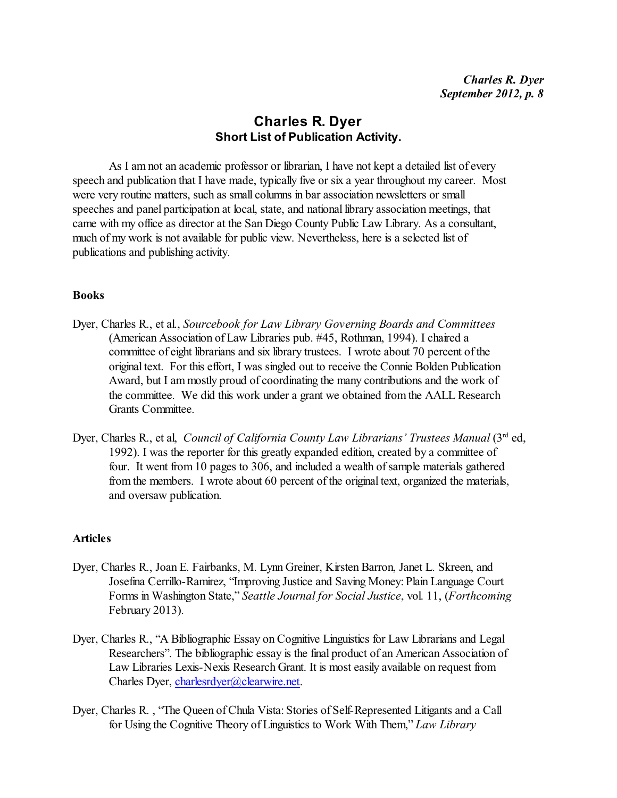### **Charles R. Dyer Short List of Publication Activity.**

As I am not an academic professor or librarian, I have not kept a detailed list of every speech and publication that I have made, typically five or six a year throughout my career. Most were very routine matters, such as small columns in bar association newsletters or small speeches and panel participation at local, state, and national library association meetings, that came with my office as director at the San Diego County Public Law Library. As a consultant, much of my work is not available for public view. Nevertheless, here is a selected list of publications and publishing activity.

#### **Books**

- Dyer, Charles R., et al., *Sourcebook for Law Library Governing Boards and Committees* (American Association of Law Libraries pub. #45, Rothman, 1994). I chaired a committee of eight librarians and six library trustees. I wrote about 70 percent of the original text. For this effort, I was singled out to receive the Connie Bolden Publication Award, but I am mostly proud of coordinating the many contributions and the work of the committee. We did this work under a grant we obtained from the AALL Research Grants Committee.
- Dyer, Charles R., et al, *Council of California County Law Librarians' Trustees Manual* (3<sup>rd</sup> ed, 1992). I was the reporter for this greatly expanded edition, created by a committee of four. It went from 10 pages to 306, and included a wealth of sample materials gathered from the members. I wrote about 60 percent of the original text, organized the materials, and oversaw publication.

#### **Articles**

- Dyer, Charles R., Joan E. Fairbanks, M. Lynn Greiner, Kirsten Barron, Janet L. Skreen, and Josefina Cerrillo-Ramirez, "Improving Justice and Saving Money: Plain Language Court Forms in Washington State," *Seattle Journal for Social Justice*, vol. 11, (*Forthcoming* February 2013).
- Dyer, Charles R., "A Bibliographic Essay on Cognitive Linguistics for Law Librarians and Legal Researchers". The bibliographic essay is the final product of an American Association of Law Libraries Lexis-Nexis Research Grant. It is most easily available on request from Charles Dyer, [charlesrdyer@clearwire.net](mailto:charlesrdyer@clearwire.net).
- Dyer, Charles R. , "The Queen of Chula Vista: Stories of Self-Represented Litigants and a Call for Using the Cognitive Theory of Linguistics to Work With Them," *Law Library*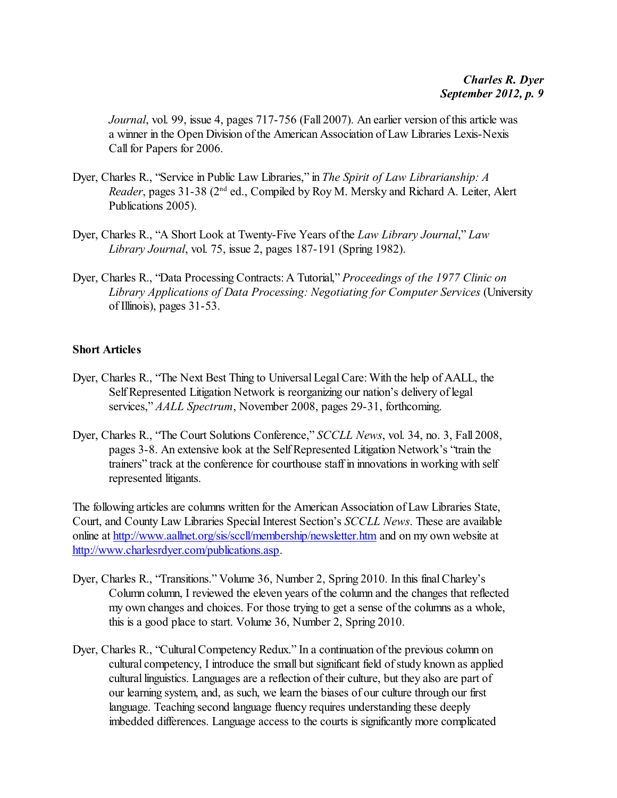*Journal*, vol. 99, issue 4, pages 717-756 (Fall 2007). An earlier version of this article was a winner in the Open Division of the American Association of Law Libraries Lexis-Nexis Call for Papers for 2006.

- Dyer, Charles R., "Service in Public Law Libraries," in *The Spirit of Law Librarianship: A* Reader, pages 31-38 (2<sup>nd</sup> ed., Compiled by Roy M. Mersky and Richard A. Leiter, Alert Publications 2005).
- Dyer, Charles R., "A Short Look at Twenty-Five Years of the *Law Library Journal*," *Law Library Journal*, vol. 75, issue 2, pages 187-191 (Spring 1982).
- Dyer, Charles R., "Data Processing Contracts: A Tutorial," *Proceedings of the 1977 Clinic on Library Applications of Data Processing: Negotiating for Computer Services* (University of Illinois), pages 31-53.

#### **Short Articles**

- Dyer, Charles R., "The Next Best Thing to Universal Legal Care: With the help of AALL, the Self Represented Litigation Network is reorganizing our nation's delivery of legal services," *AALL Spectrum*, November 2008, pages 29-31, forthcoming.
- Dyer, Charles R., "The Court Solutions Conference," *SCCLL News*, vol. 34, no. 3, Fall 2008, pages 3-8. An extensive look at the SelfRepresented Litigation Network's "train the trainers" track at the conference for courthouse staff in innovations in working with self represented litigants.

The following articles are columns written for the American Association of Law Libraries State, Court, and County Law Libraries Special Interest Section's *SCCLL News*. These are available online at <http://www.aallnet.org/sis/sccll/membership/newsletter.htm> and on my own website at <http://www.charlesrdyer.com/publications.asp>.

- Dyer, Charles R., "Transitions." Volume 36, Number 2, Spring 2010. In this final Charley's Column column, I reviewed the eleven years of the column and the changes that reflected my own changes and choices. For those trying to get a sense of the columns as a whole, this is a good place to start. Volume 36, Number 2, Spring 2010.
- Dyer, Charles R., "Cultural Competency Redux." In a continuation of the previous column on cultural competency, I introduce the small but significant field of study known as applied cultural linguistics. Languages are a reflection of their culture, but they also are part of our learning system, and, as such, we learn the biases of our culture through our first language. Teaching second language fluency requires understanding these deeply imbedded differences. Language access to the courts is significantly more complicated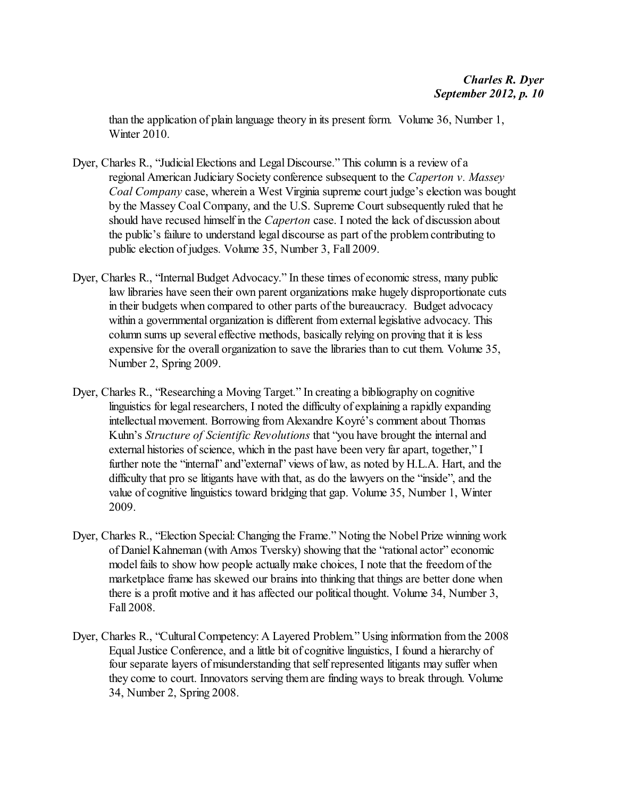than the application of plain language theory in its present form. Volume 36, Number 1, Winter 2010.

- Dyer, Charles R., "Judicial Elections and Legal Discourse." This column is a review of a regional American Judiciary Society conference subsequent to the *Caperton v. Massey Coal Company* case, wherein a West Virginia supreme court judge's election was bought by the Massey Coal Company, and the U.S. Supreme Court subsequently ruled that he should have recused himself in the *Caperton* case. I noted the lack of discussion about the public's failure to understand legal discourse as part of the problem contributing to public election of judges. Volume 35, Number 3, Fall 2009.
- Dyer, Charles R., "Internal Budget Advocacy." In these times of economic stress, many public law libraries have seen their own parent organizations make hugely disproportionate cuts in their budgets when compared to other parts of the bureaucracy. Budget advocacy within a governmental organization is different from external legislative advocacy. This column sums up several effective methods, basically relying on proving that it is less expensive for the overall organization to save the libraries than to cut them. Volume 35, Number 2, Spring 2009.
- Dyer, Charles R., "Researching a Moving Target." In creating a bibliography on cognitive linguistics for legal researchers, I noted the difficulty of explaining a rapidly expanding intellectual movement. Borrowing from Alexandre Koyré's comment about Thomas Kuhn's *Structure of Scientific Revolutions* that "you have brought the internal and external histories of science, which in the past have been very far apart, together," I further note the "internal" and"external" views of law, as noted by H.L.A. Hart, and the difficulty that pro se litigants have with that, as do the lawyers on the "inside", and the value of cognitive linguistics toward bridging that gap. Volume 35, Number 1, Winter 2009.
- Dyer, Charles R., "Election Special: Changing the Frame." Noting the Nobel Prize winning work of Daniel Kahneman (with Amos Tversky) showing that the "rational actor" economic model fails to show how people actually make choices, I note that the freedom of the marketplace frame has skewed our brains into thinking that things are better done when there is a profit motive and it has affected our political thought. Volume 34, Number 3, Fall 2008.
- Dyer, Charles R., "Cultural Competency: A Layered Problem." Using information from the 2008 Equal Justice Conference, and a little bit of cognitive linguistics, I found a hierarchy of four separate layers of misunderstanding that self represented litigants may suffer when they come to court. Innovators serving them are finding ways to break through. Volume 34, Number 2, Spring 2008.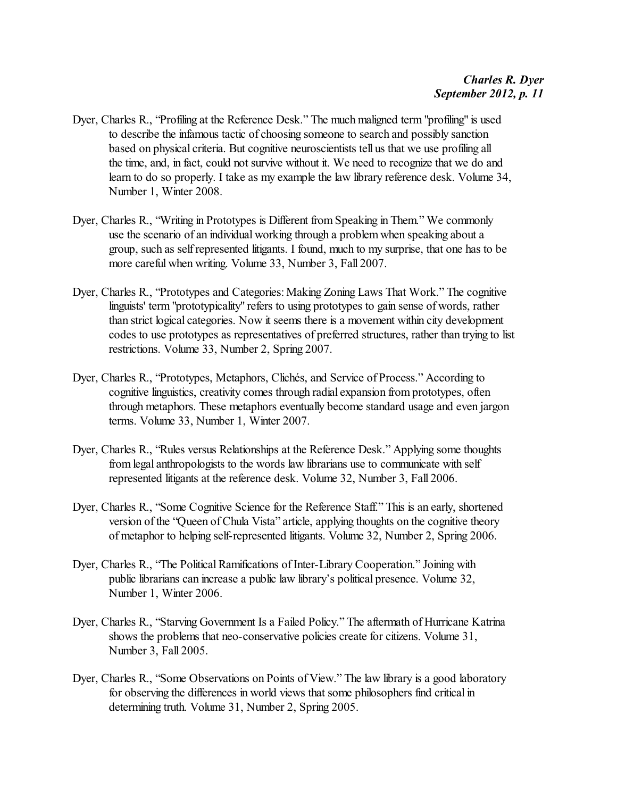- Dyer, Charles R., "Profiling at the Reference Desk." The much maligned term "profiling" is used to describe the infamous tactic of choosing someone to search and possibly sanction based on physical criteria. But cognitive neuroscientists tell us that we use profiling all the time, and, in fact, could not survive without it. We need to recognize that we do and learn to do so properly. I take as my example the law library reference desk. Volume 34, Number 1, Winter 2008.
- Dyer, Charles R., "Writing in Prototypes is Different from Speaking in Them." We commonly use the scenario of an individual working through a problem when speaking about a group, such as self represented litigants. I found, much to my surprise, that one has to be more careful when writing. Volume 33, Number 3, Fall 2007.
- Dyer, Charles R., "Prototypes and Categories: Making Zoning Laws That Work." The cognitive linguists' term "prototypicality" refers to using prototypes to gain sense of words, rather than strict logical categories. Now it seems there is a movement within city development codes to use prototypes as representatives of preferred structures, rather than trying to list restrictions. Volume 33, Number 2, Spring 2007.
- Dyer, Charles R., "Prototypes, Metaphors, Clichés, and Service of Process." According to cognitive linguistics, creativity comes through radial expansion from prototypes, often through metaphors. These metaphors eventually become standard usage and even jargon terms. Volume 33, Number 1, Winter 2007.
- Dyer, Charles R., "Rules versus Relationships at the Reference Desk." Applying some thoughts from legal anthropologists to the words law librarians use to communicate with self represented litigants at the reference desk. Volume 32, Number 3, Fall 2006.
- Dyer, Charles R., "Some Cognitive Science for the Reference Staff." This is an early, shortened version of the "Queen of Chula Vista" article, applying thoughts on the cognitive theory of metaphor to helping self-represented litigants. Volume 32, Number 2, Spring 2006.
- Dyer, Charles R., "The Political Ramifications of Inter-Library Cooperation." Joining with public librarians can increase a public law library's political presence. Volume 32, Number 1, Winter 2006.
- Dyer, Charles R., "Starving Government Is a Failed Policy." The aftermath of Hurricane Katrina shows the problems that neo-conservative policies create for citizens. Volume 31, Number 3, Fall 2005.
- Dyer, Charles R., "Some Observations on Points of View." The law library is a good laboratory for observing the differences in world views that some philosophers find critical in determining truth. Volume 31, Number 2, Spring 2005.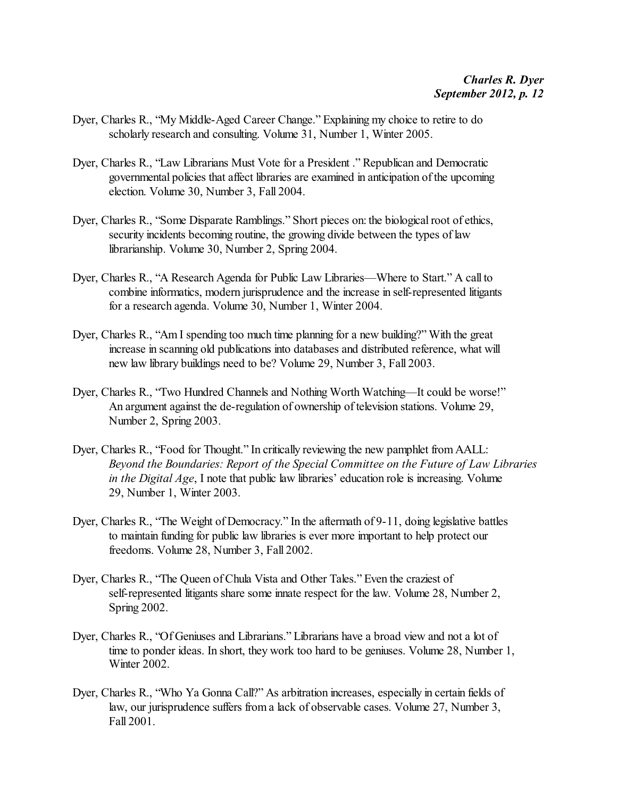- Dyer, Charles R., "My Middle-Aged Career Change." Explaining my choice to retire to do scholarly research and consulting. Volume 31, Number 1, Winter 2005.
- Dyer, Charles R., "Law Librarians Must Vote for a President ." Republican and Democratic governmental policies that affect libraries are examined in anticipation of the upcoming election. Volume 30, Number 3, Fall 2004.
- Dyer, Charles R., "Some Disparate Ramblings." Short pieces on: the biological root of ethics, security incidents becoming routine, the growing divide between the types of law librarianship. Volume 30, Number 2, Spring 2004.
- Dyer, Charles R., "A Research Agenda for Public Law Libraries—Where to Start." A call to combine informatics, modern jurisprudence and the increase in self-represented litigants for a research agenda. Volume 30, Number 1, Winter 2004.
- Dyer, Charles R., "Am I spending too much time planning for a new building?" With the great increase in scanning old publications into databases and distributed reference, what will new law library buildings need to be? Volume 29, Number 3, Fall 2003.
- Dyer, Charles R., "Two Hundred Channels and Nothing Worth Watching—It could be worse!" An argument against the de-regulation of ownership of television stations. Volume 29, Number 2, Spring 2003.
- Dyer, Charles R., "Food for Thought." In critically reviewing the new pamphlet from AALL: *Beyond the Boundaries: Report of the Special Committee on the Future of Law Libraries in the Digital Age*, I note that public law libraries' education role is increasing. Volume 29, Number 1, Winter 2003.
- Dyer, Charles R., "The Weight of Democracy." In the aftermath of 9-11, doing legislative battles to maintain funding for public law libraries is ever more important to help protect our freedoms. Volume 28, Number 3, Fall 2002.
- Dyer, Charles R., "The Queen of Chula Vista and Other Tales." Even the craziest of self-represented litigants share some innate respect for the law. Volume 28, Number 2, Spring 2002.
- Dyer, Charles R., "Of Geniuses and Librarians." Librarians have a broad view and not a lot of time to ponder ideas. In short, they work too hard to be geniuses. Volume 28, Number 1, Winter 2002.
- Dyer, Charles R., "Who Ya Gonna Call?" As arbitration increases, especially in certain fields of law, our jurisprudence suffers from a lack of observable cases. Volume 27, Number 3, Fall 2001.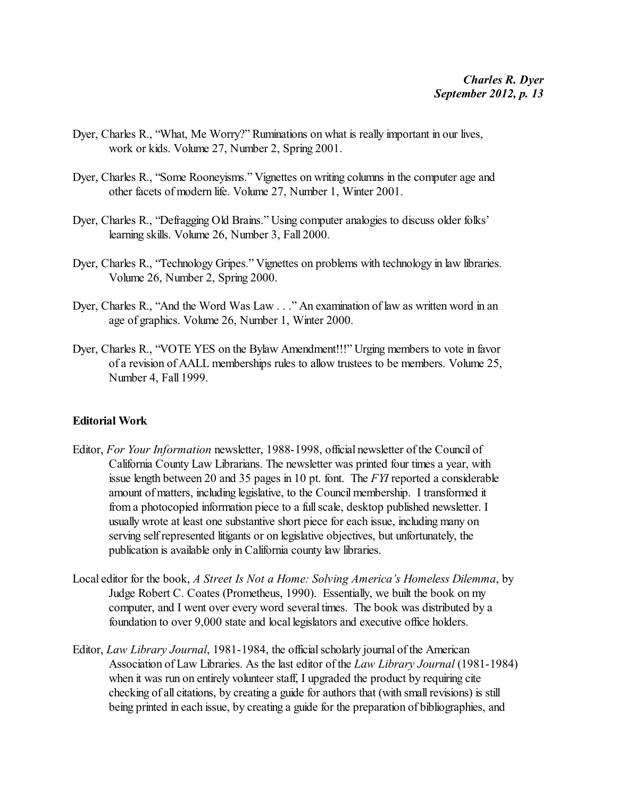- Dyer, Charles R., "What, Me Worry?" Ruminations on what is really important in our lives, work or kids. Volume 27, Number 2, Spring 2001.
- Dyer, Charles R., "Some Rooneyisms." Vignettes on writing columns in the computer age and other facets of modern life. Volume 27, Number 1, Winter 2001.
- Dyer, Charles R., "Defragging Old Brains." Using computer analogies to discuss older folks' learning skills. Volume 26, Number 3, Fall 2000.
- Dyer, Charles R., "Technology Gripes." Vignettes on problems with technology in law libraries. Volume 26, Number 2, Spring 2000.
- Dyer, Charles R., "And the Word Was Law . . ." An examination of law as written word in an age of graphics. Volume 26, Number 1, Winter 2000.
- Dyer, Charles R., "VOTE YES on the Bylaw Amendment!!!" Urging members to vote in favor of a revision of AALL memberships rules to allow trustees to be members. Volume 25, Number 4, Fall 1999.

#### **Editorial Work**

- Editor, *For Your Information* newsletter, 1988-1998, official newsletter of the Council of California County Law Librarians. The newsletter was printed four times a year, with issue length between 20 and 35 pages in 10 pt. font. The *FYI* reported a considerable amount of matters, including legislative, to the Council membership. I transformed it from a photocopied information piece to a full scale, desktop published newsletter. I usually wrote at least one substantive short piece for each issue, including many on serving self represented litigants or on legislative objectives, but unfortunately, the publication is available only in California county law libraries.
- Local editor for the book, *A Street Is Not a Home: Solving America's Homeless Dilemma*, by Judge Robert C. Coates (Prometheus, 1990). Essentially, we built the book on my computer, and I went over every word several times. The book was distributed by a foundation to over 9,000 state and local legislators and executive office holders.
- Editor, *Law Library Journal*, 1981-1984, the official scholarly journal of the American Association of Law Libraries. As the last editor of the *Law Library Journal* (1981-1984) when it was run on entirely volunteer staff, I upgraded the product by requiring cite checking of all citations, by creating a guide for authors that (with small revisions) is still being printed in each issue, by creating a guide for the preparation of bibliographies, and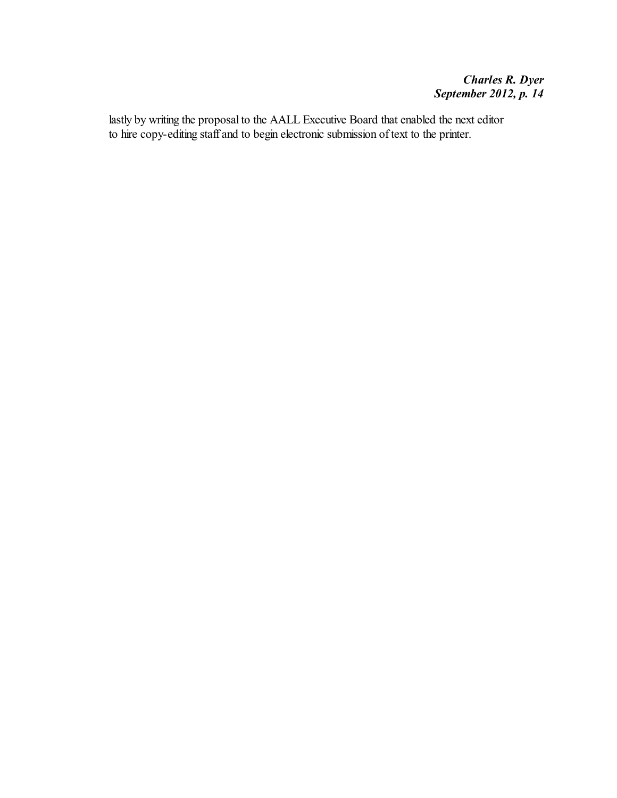lastly by writing the proposal to the AALL Executive Board that enabled the next editor to hire copy-editing staff and to begin electronic submission of text to the printer.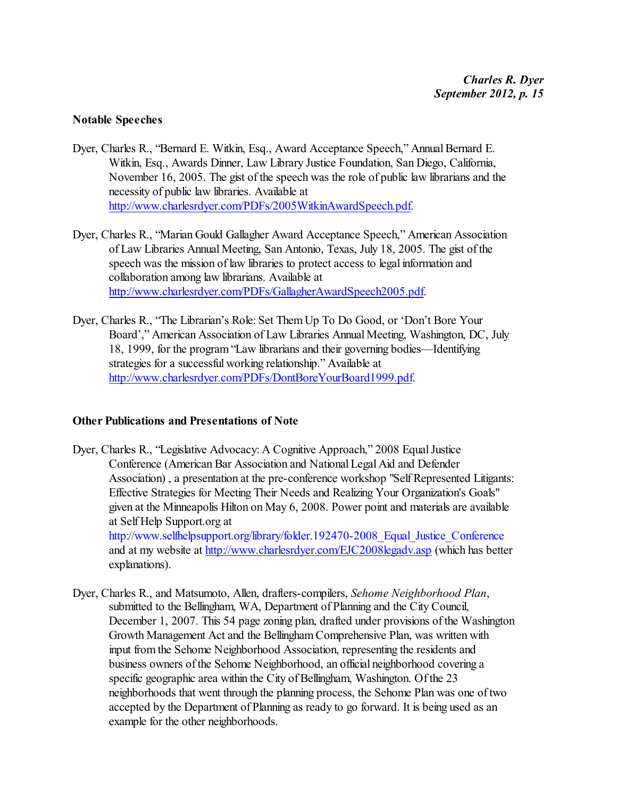#### **Notable Speeches**

- Dyer, Charles R., "Bernard E. Witkin, Esq., Award Acceptance Speech," Annual Bernard E. Witkin, Esq., Awards Dinner, Law Library Justice Foundation, San Diego, California, November 16, 2005. The gist of the speech was the role of public law librarians and the necessity of public law libraries. Available at <http://www.charlesrdyer.com/PDFs/2005WitkinAwardSpeech.pdf>.
- Dyer, Charles R., "Marian Gould Gallagher Award Acceptance Speech," American Association of Law Libraries Annual Meeting, San Antonio, Texas, July 18, 2005. The gist of the speech was the mission of law libraries to protect access to legal information and collaboration among law librarians. Available at <http://www.charlesrdyer.com/PDFs/GallagherAwardSpeech2005.pdf>.
- Dyer, Charles R., "The Librarian's Role: Set Them Up To Do Good, or 'Don't Bore Your Board'," American Association of Law Libraries Annual Meeting, Washington, DC, July 18, 1999, for the program "Law librarians and their governing bodies—Identifying strategies for a successful working relationship." Available at <http://www.charlesrdyer.com/PDFs/DontBoreYourBoard1999.pdf>.

#### **Other Publications and Presentations of Note**

- Dyer, Charles R., "Legislative Advocacy: A Cognitive Approach," 2008 Equal Justice Conference (American Bar Association and NationalLegal Aid and Defender Association) , a presentation at the pre-conference workshop "Self Represented Litigants: Effective Strategies for Meeting Their Needs and Realizing Your Organization's Goals" given at the Minneapolis Hilton on May 6, 2008. Power point and materials are available at Self Help Support.org at http://www.selfhelpsupport.org/library/folder.192470-2008 Equal Justice Conference and at my website at <http://www.charlesrdyer.com/EJC2008legadv.asp> (which has better explanations).
- Dyer, Charles R., and Matsumoto, Allen, drafters-compilers, *Sehome Neighborhood Plan*, submitted to the Bellingham, WA, Department of Planning and the City Council, December 1, 2007. This 54 page zoning plan, drafted under provisions of the Washington Growth Management Act and the Bellingham Comprehensive Plan, was written with input from the Sehome Neighborhood Association, representing the residents and business owners of the Sehome Neighborhood, an official neighborhood covering a specific geographic area within the City of Bellingham, Washington. Of the 23 neighborhoods that went through the planning process, the Sehome Plan was one of two accepted by the Department of Planning as ready to go forward. It is being used as an example for the other neighborhoods.